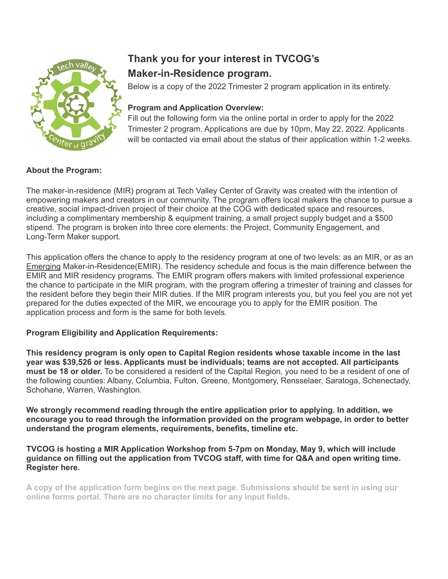

# **Thank you for your interest in TVCOG's Maker-in-Residence program.**

Below is a copy of the 2022 Trimester 2 program application in its entirety.

## **Program and Application Overview:**

Fill out the following form via the online portal in order to apply for the 2022 Trimester 2 program. Applications are due by 10pm, May 22, 2022. Applicants will be contacted via email about the status of their application within 1-2 weeks.

## **About the Program:**

The maker-in-residence (MIR) program at Tech Valley Center of Gravity was created with the intention of empowering makers and creators in our community. The program offers local makers the chance to pursue a creative, social impact-driven project of their choice at the COG with dedicated space and resources, including a complimentary membership & equipment training, a small project supply budget and a \$500 stipend. The program is broken into three core elements: the Project, Community Engagement, and Long-Term Maker support.

This application offers the chance to apply to the residency program at one of two levels: as an MIR, or as an Emerging Maker-in-Residence(EMIR). The residency schedule and focus is the main difference between the EMIR and MIR residency programs. The EMIR program offers makers with limited professional experience the chance to participate in the MIR program, with the program offering a trimester of training and classes for the resident before they begin their MIR duties. If the MIR program interests you, but you feel you are not yet prepared for the duties expected of the MIR, we encourage you to apply for the EMIR position. The application process and form is the same for both levels.

## **Program Eligibility and Application Requirements:**

**This residency program is only open to Capital Region residents whose taxable income in the last year was \$39,526 or less. Applicants must be individuals; teams are not accepted. All participants must be 18 or older.** To be considered a resident of the Capital Region, you need to be a resident of one of the following counties: Albany, Columbia, Fulton, Greene, Montgomery, Rensselaer, Saratoga, Schenectady, Schoharie, Warren, Washington.

**We strongly recommend reading through the entire application prior to applying. In addition, we encourage you to read through the information provided on the program webpage, in order to better understand the program elements, requirements, benefits, timeline etc.**

### **TVCOG is hosting a MIR Application Workshop from 5-7pm on Monday, May 9, which will include guidance on filling out the application from TVCOG staff, with time for Q&A and open writing time. Register here.**

**A copy of the application form begins on the next page. Submissions should be sent in using our online forms portal. There are no character limits for any input fields.**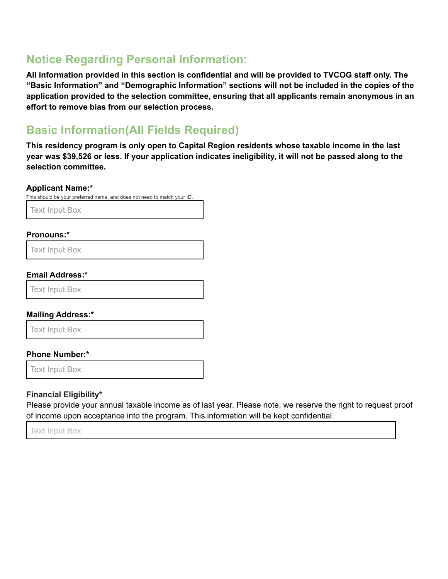## **Notice Regarding Personal Information:**

**All information provided in this section is confidential and will be provided to TVCOG staff only. The "Basic Information" and "Demographic Information" sections will not be included in the copies of the application provided to the selection committee, ensuring that all applicants remain anonymous in an effort to remove bias from our selection process.**

# **Basic Information(All Fields Required)**

**This residency program is only open to Capital Region residents whose taxable income in the last** year was \$39,526 or less. If your application indicates ineligibility, it will not be passed along to the **selection committee.**

## **Applicant Name:\***

This should be your preferred name, and does not need to match your ID.

Text Input Box

### **Pronouns:\***

Text Input Box

### **Email Address:\***

Text Input Box

## **Mailing Address:\***

Text Input Box

### **Phone Number:\***

Text Input Box

### **Financial Eligibility\***

Please provide your annual taxable income as of last year. Please note, we reserve the right to request proof of income upon acceptance into the program. This information will be kept confidential.

Text Input Box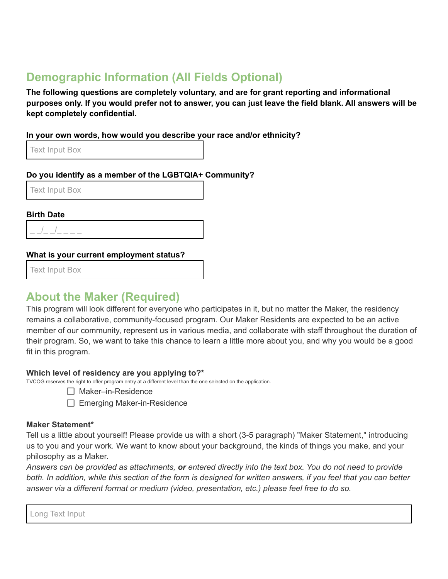# **Demographic Information (All Fields Optional)**

**The following questions are completely voluntary, and are for grant reporting and informational** purposes only. If you would prefer not to answer, you can just leave the field blank. All answers will be **kept completely confidential.**

**In your own words, how would you describe your race and/or ethnicity?**

Text Input Box

## **Do you identify as a member of the LGBTQIA+ Community?**

Text Input Box

## **Birth Date**

| __ | __ |  |  |
|----|----|--|--|

## **What is your current employment status?**

Text Input Box

## **About the Maker (Required)**

This program will look different for everyone who participates in it, but no matter the Maker, the residency remains a collaborative, community-focused program. Our Maker Residents are expected to be an active member of our community, represent us in various media, and collaborate with staff throughout the duration of their program. So, we want to take this chance to learn a little more about you, and why you would be a good fit in this program.

## **Which level of residency are you applying to?\***

TVCOG reserves the right to offer program entry at a different level than the one selected on the application.

- Maker–in-Residence
- □ Emerging Maker-in-Residence

### **Maker Statement\***

Tell us a little about yourself! Please provide us with a short (3-5 paragraph) "Maker Statement," introducing us to you and your work. We want to know about your background, the kinds of things you make, and your philosophy as a Maker.

Answers can be provided as attachments, or entered directly into the text box. You do not need to provide both. In addition, while this section of the form is designed for written answers, if you feel that you can better *answer via a different format or medium (video, presentation, etc.) please feel free to do so.*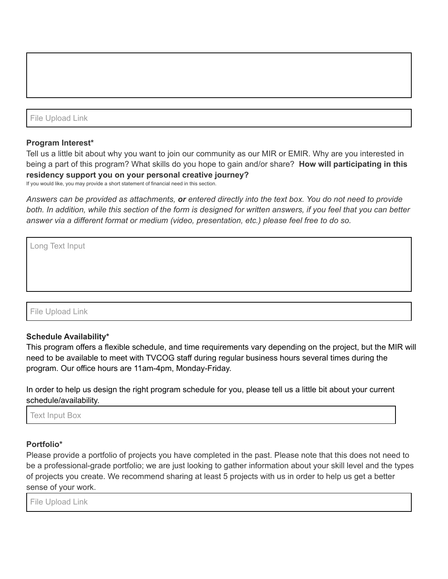### File Upload Link

#### **Program Interest\***

Tell us a little bit about why you want to join our community as our MIR or EMIR. Why are you interested in being a part of this program? What skills do you hope to gain and/or share? **How will participating in this residency support you on your personal creative journey?**

If you would like, you may provide a short statement of financial need in this section.

Answers can be provided as attachments, or entered directly into the text box. You do not need to provide both. In addition, while this section of the form is designed for written answers, if you feel that you can better *answer via a different format or medium (video, presentation, etc.) please feel free to do so.*

| Long Text Input  |  |
|------------------|--|
|                  |  |
|                  |  |
|                  |  |
| File Upload Link |  |

### **Schedule Availability\***

This program offers a flexible schedule, and time requirements vary depending on the project, but the MIR will need to be available to meet with TVCOG staff during regular business hours several times during the program. Our office hours are 11am-4pm, Monday-Friday.

In order to help us design the right program schedule for you, please tell us a little bit about your current schedule/availability.

Text Input Box

### **Portfolio\***

Please provide a portfolio of projects you have completed in the past. Please note that this does not need to be a professional-grade portfolio; we are just looking to gather information about your skill level and the types of projects you create. We recommend sharing at least 5 projects with us in order to help us get a better sense of your work.

File Upload Link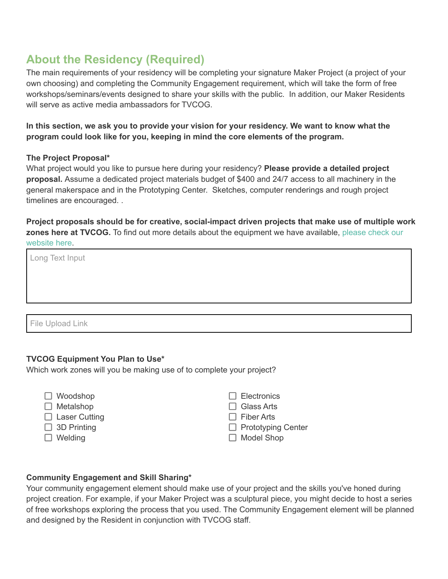## **About the Residency (Required)**

The main requirements of your residency will be completing your signature Maker Project (a project of your own choosing) and completing the Community Engagement requirement, which will take the form of free workshops/seminars/events designed to share your skills with the public. In addition, our Maker Residents will serve as active media ambassadors for TVCOG.

In this section, we ask you to provide your vision for your residency. We want to know what the **program could look like for you, keeping in mind the core elements of the program.**

### **The Project Proposal\***

What project would you like to pursue here during your residency? **Please provide a detailed project proposal.** Assume a dedicated project materials budget of \$400 and 24/7 access to all machinery in the general makerspace and in the Prototyping Center. Sketches, computer renderings and rough project timelines are encouraged. .

**Project proposals should be for creative, social-impact driven projects that make use of multiple work zones here at TVCOG.** To find out more details about the equipment we have available, [please](https://www.tvcog.net/facility/makerspace-technology-zones) check our [website](https://www.tvcog.net/facility/makerspace-technology-zones) here.

| Long Text Input |  |  |
|-----------------|--|--|
|                 |  |  |
|                 |  |  |

File Upload Link

## **TVCOG Equipment You Plan to Use\***

Which work zones will you be making use of to complete your project?

| $\Box$ Woodshop      | $\Box$ Electronics        |
|----------------------|---------------------------|
| $\Box$ Metalshop     | $\Box$ Glass Arts         |
| $\Box$ Laser Cutting | $\Box$ Fiber Arts         |
| $\Box$ 3D Printing   | $\Box$ Prototyping Center |
| $\Box$ Welding       | $\Box$ Model Shop         |
|                      |                           |

### **Community Engagement and Skill Sharing\***

Your community engagement element should make use of your project and the skills you've honed during project creation. For example, if your Maker Project was a sculptural piece, you might decide to host a series of free workshops exploring the process that you used. The Community Engagement element will be planned and designed by the Resident in conjunction with TVCOG staff.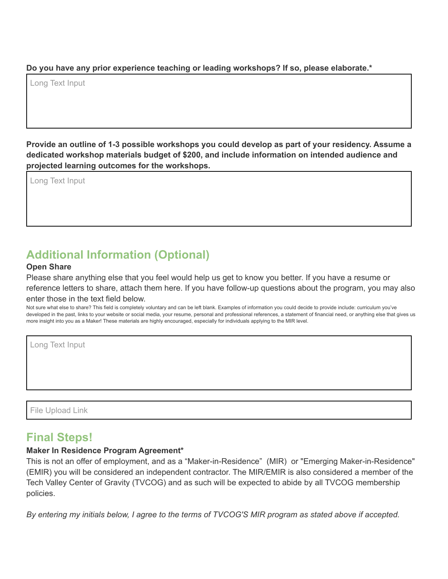## **Do you have any prior experience teaching or leading workshops? If so, please elaborate.\***

Long Text Input

**Provide an outline of 1-3 possible workshops you could develop as part of your residency. Assume a dedicated workshop materials budget of \$200, and include information on intended audience and projected learning outcomes for the workshops.**

Long Text Input

# **Additional Information (Optional)**

### **Open Share**

Please share anything else that you feel would help us get to know you better. If you have a resume or reference letters to share, attach them here. If you have follow-up questions about the program, you may also enter those in the text field below.

Not sure what else to share? This field is completely voluntary and can be left blank. Examples of information you could decide to provide include: curriculum you've developed in the past, links to your website or social media, your resume, personal and professional references, a statement of financial need, or anything else that gives us more insight into you as a Maker! These materials are highly encouraged, especially for individuals applying to the MIR level.

Long Text Input

File Upload Link

## **Final Steps!**

## **Maker In Residence Program Agreement\***

This is not an offer of employment, and as a "Maker-in-Residence" (MIR) or "Emerging Maker-in-Residence" (EMIR) you will be considered an independent contractor. The MIR/EMIR is also considered a member of the Tech Valley Center of Gravity (TVCOG) and as such will be expected to abide by all TVCOG membership policies.

By entering my initials below, I agree to the terms of TVCOG'S MIR program as stated above if accepted.